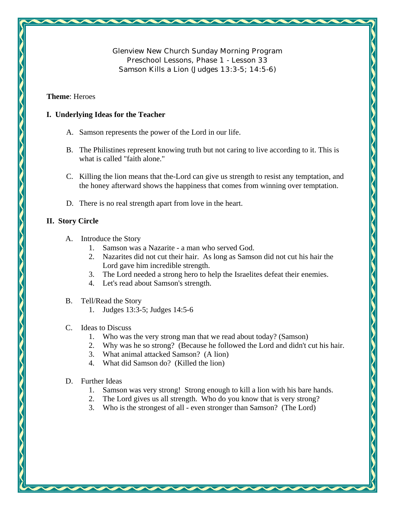**Glenview New Church Sunday Morning Program Preschool Lessons, Phase 1 - Lesson 33 Samson Kills a Lion (Judges 13:3-5; 14:5-6)** 

#### **Theme**: Heroes

### **I. Underlying Ideas for the Teacher**

- A. Samson represents the power of the Lord in our life.
- B. The Philistines represent knowing truth but not caring to live according to it. This is what is called "faith alone."
- C. Killing the lion means that the-Lord can give us strength to resist any temptation, and the honey afterward shows the happiness that comes from winning over temptation.
- D. There is no real strength apart from love in the heart.

# **II. Story Circle**

- A. Introduce the Story
	- 1. Samson was a Nazarite a man who served God.
	- 2. Nazarites did not cut their hair. As long as Samson did not cut his hair the Lord gave him incredible strength.
	- 3. The Lord needed a strong hero to help the Israelites defeat their enemies.
	- 4. Let's read about Samson's strength.
- B. Tell/Read the Story
	- 1. Judges 13:3-5; Judges 14:5-6
- C. Ideas to Discuss
	- 1. Who was the very strong man that we read about today? (Samson)
	- 2. Why was he so strong? (Because he followed the Lord and didn't cut his hair.
	- 3. What animal attacked Samson? (A lion)
	- 4. What did Samson do? (Killed the lion)
- D. Further Ideas
	- 1. Samson was very strong! Strong enough to kill a lion with his bare hands.
	- 2. The Lord gives us all strength. Who do you know that is very strong?
	- 3. Who is the strongest of all even stronger than Samson? (The Lord)